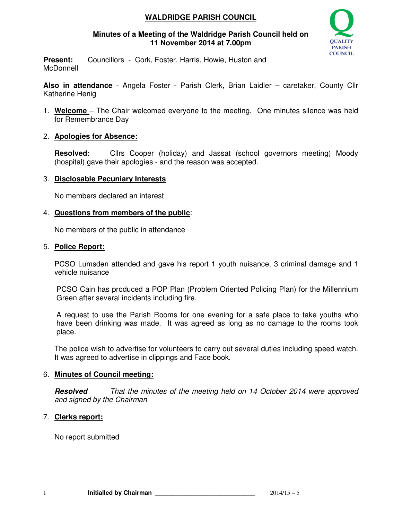# **WALDRIDGE PARISH COUNCIL**

# **Minutes of a Meeting of the Waldridge Parish Council held on 11 November 2014 at 7.00pm**



**Present:** Councillors - Cork, Foster, Harris, Howie, Huston and **McDonnell** 

**Also in attendance** - Angela Foster - Parish Clerk, Brian Laidler – caretaker, County Cllr Katherine Henig

1. **Welcome** – The Chair welcomed everyone to the meeting. One minutes silence was held for Remembrance Day

# 2. **Apologies for Absence:**

**Resolved:** Cllrs Cooper (holiday) and Jassat (school governors meeting) Moody (hospital) gave their apologies - and the reason was accepted.

# 3. **Disclosable Pecuniary Interests**

No members declared an interest

# 4. **Questions from members of the public**:

No members of the public in attendance

#### 5. **Police Report:**

PCSO Lumsden attended and gave his report 1 youth nuisance, 3 criminal damage and 1 vehicle nuisance

PCSO Cain has produced a POP Plan (Problem Oriented Policing Plan) for the Millennium Green after several incidents including fire.

A request to use the Parish Rooms for one evening for a safe place to take youths who have been drinking was made. It was agreed as long as no damage to the rooms took place.

The police wish to advertise for volunteers to carry out several duties including speed watch. It was agreed to advertise in clippings and Face book.

# 6. **Minutes of Council meeting:**

**Resolved** That the minutes of the meeting held on 14 October 2014 were approved and signed by the Chairman

# 7. **Clerks report:**

No report submitted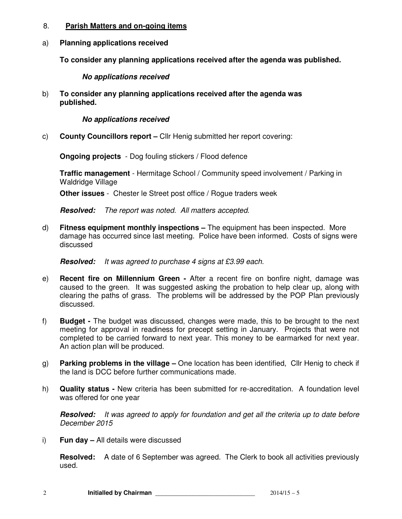#### 8. **Parish Matters and on-going items**

# a) **Planning applications received**

**To consider any planning applications received after the agenda was published.** 

**No applications received** 

b) **To consider any planning applications received after the agenda was published.** 

 **No applications received** 

c) **County Councillors report –** Cllr Henig submitted her report covering:

**Ongoing projects** - Dog fouling stickers / Flood defence

**Traffic management** - Hermitage School / Community speed involvement / Parking in Waldridge Village

**Other issues** - Chester le Street post office / Rogue traders week

**Resolved:** The report was noted. All matters accepted.

d) **Fitness equipment monthly inspections –** The equipment has been inspected. More damage has occurred since last meeting. Police have been informed. Costs of signs were discussed

**Resolved:** It was agreed to purchase 4 signs at £3.99 each.

- e) **Recent fire on Millennium Green** After a recent fire on bonfire night, damage was caused to the green. It was suggested asking the probation to help clear up, along with clearing the paths of grass. The problems will be addressed by the POP Plan previously discussed.
- f) **Budget** The budget was discussed, changes were made, this to be brought to the next meeting for approval in readiness for precept setting in January. Projects that were not completed to be carried forward to next year. This money to be earmarked for next year. An action plan will be produced.
- g) **Parking problems in the village –** One location has been identified, Cllr Henig to check if the land is DCC before further communications made.
- h) **Quality status** New criteria has been submitted for re-accreditation. A foundation level was offered for one year

**Resolved:** It was agreed to apply for foundation and get all the criteria up to date before December 2015

i) **Fun day –** All details were discussed

**Resolved:** A date of 6 September was agreed. The Clerk to book all activities previously used.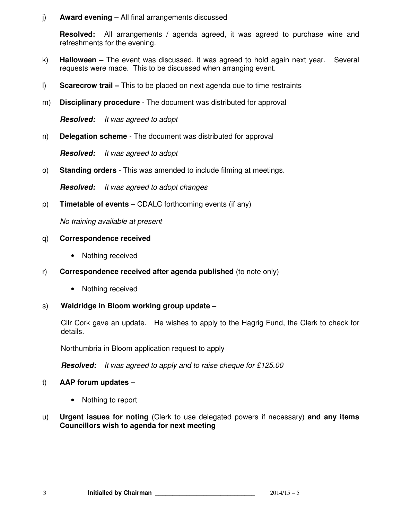# j) **Award evening** – All final arrangements discussed

**Resolved:** All arrangements / agenda agreed, it was agreed to purchase wine and refreshments for the evening.

- k) **Halloween** The event was discussed, it was agreed to hold again next year. Several requests were made. This to be discussed when arranging event.
- l) **Scarecrow trail** This to be placed on next agenda due to time restraints
- m) **Disciplinary procedure**  The document was distributed for approval

**Resolved:** It was agreed to adopt

n) **Delegation scheme** - The document was distributed for approval

**Resolved:** It was agreed to adopt

o) **Standing orders** - This was amended to include filming at meetings.

**Resolved:** It was agreed to adopt changes

p) **Timetable of events** – CDALC forthcoming events (if any)

No training available at present

#### q) **Correspondence received**

- Nothing received
- r) **Correspondence received after agenda published** (to note only)
	- Nothing received

# s) **Waldridge in Bloom working group update –**

Cllr Cork gave an update. He wishes to apply to the Hagrig Fund, the Clerk to check for details.

Northumbria in Bloom application request to apply

**Resolved:** It was agreed to apply and to raise cheque for £125.00

# t) **AAP forum updates** –

- Nothing to report
- u) **Urgent issues for noting** (Clerk to use delegated powers if necessary) **and any items Councillors wish to agenda for next meeting**